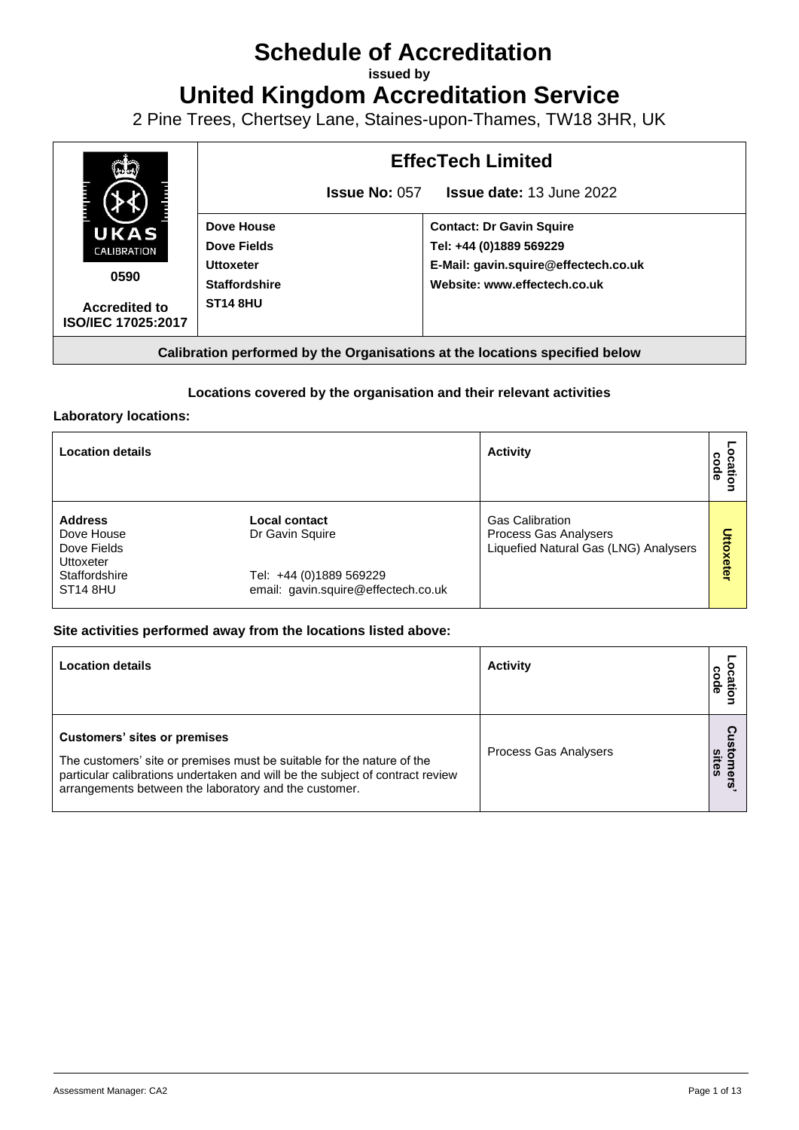# **Schedule of Accreditation**

**issued by**

**United Kingdom Accreditation Service**

2 Pine Trees, Chertsey Lane, Staines-upon-Thames, TW18 3HR, UK



# **Locations covered by the organisation and their relevant activities**

## **Laboratory locations:**

| <b>Location details</b>                                  |                                                                | <b>Activity</b>                                                                          | code<br>욛<br>٥ |
|----------------------------------------------------------|----------------------------------------------------------------|------------------------------------------------------------------------------------------|----------------|
| <b>Address</b><br>Dove House<br>Dove Fields<br>Uttoxeter | Local contact<br>Dr Gavin Squire                               | <b>Gas Calibration</b><br>Process Gas Analysers<br>Liquefied Natural Gas (LNG) Analysers | Uttoxeter      |
| Staffordshire<br>ST <sub>14</sub> 8HU                    | Tel: +44 (0)1889 569229<br>email: gavin.squire@effectech.co.uk |                                                                                          |                |

# **Site activities performed away from the locations listed above:**

| <b>Location details</b>                                                                                                                                                                                                                                 | <b>Activity</b>       | code<br>ätio                   |
|---------------------------------------------------------------------------------------------------------------------------------------------------------------------------------------------------------------------------------------------------------|-----------------------|--------------------------------|
| <b>Customers' sites or premises</b><br>The customers' site or premises must be suitable for the nature of the<br>particular calibrations undertaken and will be the subject of contract review<br>arrangements between the laboratory and the customer. | Process Gas Analysers | ois<br>sites<br>$\vec{e}$<br>5 |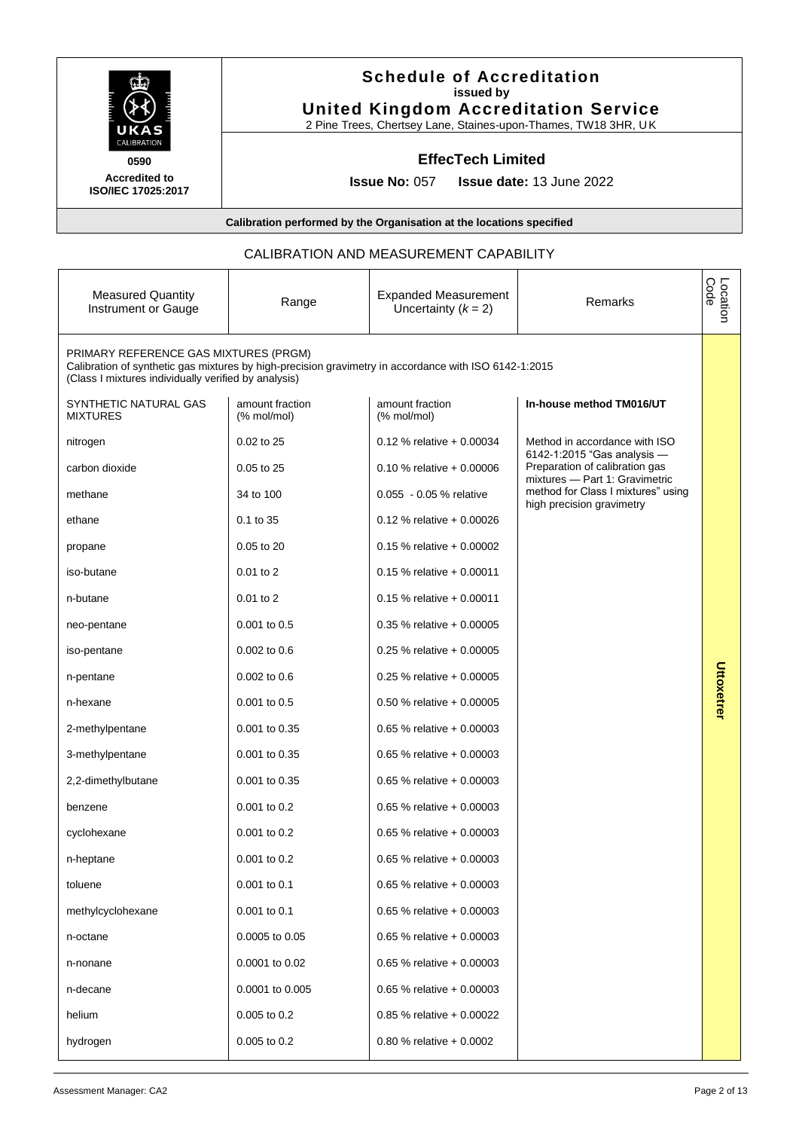| Ë |                   | E |
|---|-------------------|---|
|   |                   |   |
|   | <b>ALIBRATION</b> |   |

# **Schedule of Accreditation issued by United Kingdom Accreditation Service**

2 Pine Trees, Chertsey Lane, Staines-upon-Thames, TW18 3HR, UK

# **EffecTech Limited**

**0590 Accredited to ISO/IEC 17025:2017**

**Issue No:** 057 **Issue date:** 13 June 2022

### **Calibration performed by the Organisation at the locations specified**

## CALIBRATION AND MEASUREMENT CAPABILITY

| <b>Measured Quantity</b><br>Instrument or Gauge                                                                                                                                                        | Range                          | <b>Expanded Measurement</b><br>Uncertainty $(k = 2)$ | Remarks                                                                                         | Location<br>Code |
|--------------------------------------------------------------------------------------------------------------------------------------------------------------------------------------------------------|--------------------------------|------------------------------------------------------|-------------------------------------------------------------------------------------------------|------------------|
| PRIMARY REFERENCE GAS MIXTURES (PRGM)<br>Calibration of synthetic gas mixtures by high-precision gravimetry in accordance with ISO 6142-1:2015<br>(Class I mixtures individually verified by analysis) |                                |                                                      |                                                                                                 |                  |
| SYNTHETIC NATURAL GAS<br><b>MIXTURES</b>                                                                                                                                                               | amount fraction<br>(% mol/mol) | amount fraction<br>(% mol/mol)                       | In-house method TM016/UT                                                                        |                  |
| nitrogen                                                                                                                                                                                               | 0.02 to 25                     | $0.12$ % relative + 0.00034                          | Method in accordance with ISO                                                                   |                  |
| carbon dioxide                                                                                                                                                                                         | 0.05 to 25                     | 0.10 % relative $+0.00006$                           | 6142-1:2015 "Gas analysis -<br>Preparation of calibration gas<br>mixtures - Part 1: Gravimetric |                  |
| methane                                                                                                                                                                                                | 34 to 100                      | 0.055 - 0.05 % relative                              | method for Class I mixtures" using<br>high precision gravimetry                                 |                  |
| ethane                                                                                                                                                                                                 | 0.1 to 35                      | $0.12$ % relative + 0.00026                          |                                                                                                 |                  |
| propane                                                                                                                                                                                                | 0.05 to 20                     | $0.15$ % relative + 0.00002                          |                                                                                                 |                  |
| iso-butane                                                                                                                                                                                             | $0.01$ to $2$                  | $0.15$ % relative + 0.00011                          |                                                                                                 |                  |
| n-butane                                                                                                                                                                                               | 0.01 to 2                      | $0.15$ % relative + 0.00011                          |                                                                                                 |                  |
| neo-pentane                                                                                                                                                                                            | $0.001$ to $0.5$               | $0.35$ % relative + 0.00005                          |                                                                                                 |                  |
| iso-pentane                                                                                                                                                                                            | $0.002$ to $0.6$               | $0.25$ % relative + 0.00005                          |                                                                                                 |                  |
| n-pentane                                                                                                                                                                                              | $0.002$ to $0.6$               | 0.25 % relative $+0.00005$                           |                                                                                                 | Uttoxetrer       |
| n-hexane                                                                                                                                                                                               | 0.001 to 0.5                   | $0.50$ % relative + 0.00005                          |                                                                                                 |                  |
| 2-methylpentane                                                                                                                                                                                        | 0.001 to 0.35                  | 0.65 % relative $+0.00003$                           |                                                                                                 |                  |
| 3-methylpentane                                                                                                                                                                                        | 0.001 to 0.35                  | 0.65 % relative $+0.00003$                           |                                                                                                 |                  |
| 2,2-dimethylbutane                                                                                                                                                                                     | 0.001 to 0.35                  | 0.65 % relative $+0.00003$                           |                                                                                                 |                  |
| benzene                                                                                                                                                                                                | 0.001 to 0.2                   | 0.65 % relative $+0.00003$                           |                                                                                                 |                  |
| cyclohexane                                                                                                                                                                                            | 0.001 to 0.2                   | 0.65 % relative $+0.00003$                           |                                                                                                 |                  |
| n-heptane                                                                                                                                                                                              | 0.001 to 0.2                   | 0.65 % relative $+0.00003$                           |                                                                                                 |                  |
| toluene                                                                                                                                                                                                | 0.001 to 0.1                   | 0.65 % relative + $0.00003$                          |                                                                                                 |                  |
| methylcyclohexane                                                                                                                                                                                      | 0.001 to 0.1                   | $0.65$ % relative + 0.00003                          |                                                                                                 |                  |
| n-octane                                                                                                                                                                                               | 0.0005 to 0.05                 | $0.65$ % relative + 0.00003                          |                                                                                                 |                  |
| n-nonane                                                                                                                                                                                               | 0.0001 to 0.02                 | $0.65$ % relative + 0.00003                          |                                                                                                 |                  |
| n-decane                                                                                                                                                                                               | 0.0001 to 0.005                | $0.65$ % relative + 0.00003                          |                                                                                                 |                  |
| helium                                                                                                                                                                                                 | 0.005 to 0.2                   | 0.85 % relative $+0.00022$                           |                                                                                                 |                  |
| hydrogen                                                                                                                                                                                               | 0.005 to 0.2                   | 0.80 % relative $+0.0002$                            |                                                                                                 |                  |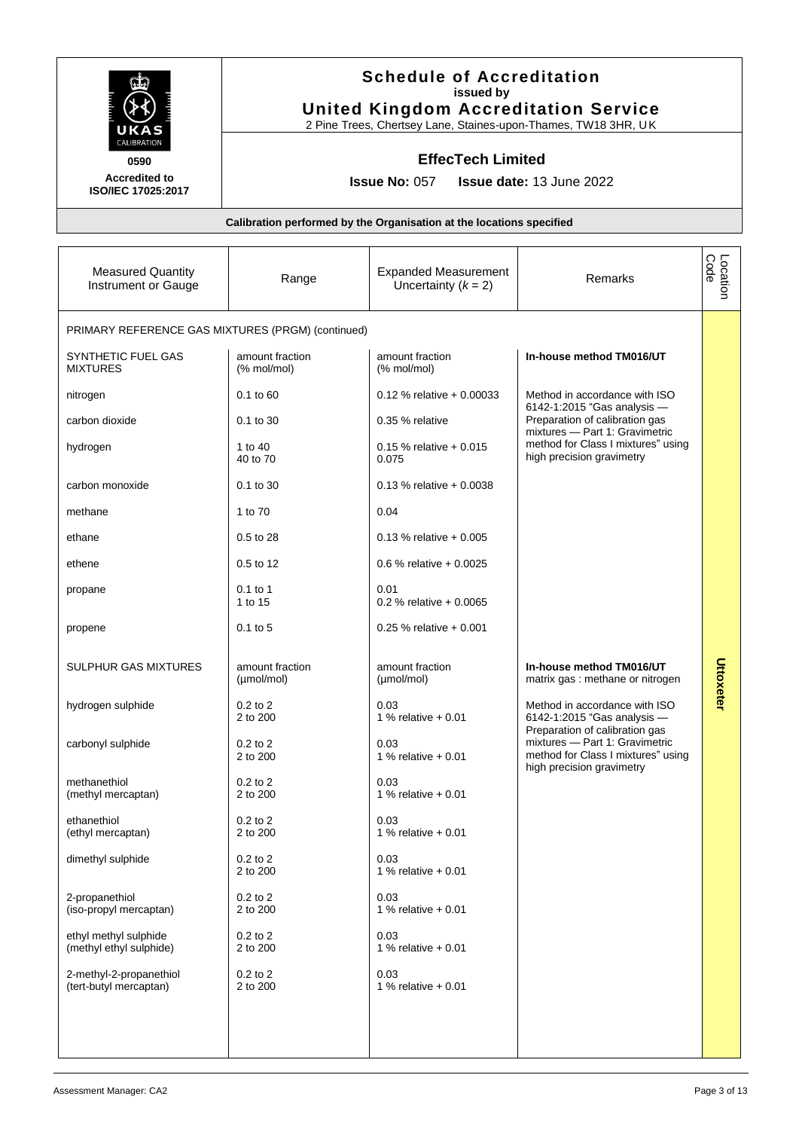|                                                                   | <b>Schedule of Accreditation</b><br>issued by<br><b>United Kingdom Accreditation Service</b><br>2 Pine Trees, Chertsey Lane, Staines-upon-Thames, TW18 3HR, UK |                                                                      |                                                                                                                                     |                  |
|-------------------------------------------------------------------|----------------------------------------------------------------------------------------------------------------------------------------------------------------|----------------------------------------------------------------------|-------------------------------------------------------------------------------------------------------------------------------------|------------------|
| CALIBRATION<br>0590<br><b>Accredited to</b><br>ISO/IEC 17025:2017 |                                                                                                                                                                | <b>EffecTech Limited</b><br><b>Issue No: 057</b>                     | <b>Issue date: 13 June 2022</b>                                                                                                     |                  |
|                                                                   |                                                                                                                                                                | Calibration performed by the Organisation at the locations specified |                                                                                                                                     |                  |
| <b>Measured Quantity</b><br>Instrument or Gauge                   | Range                                                                                                                                                          | <b>Expanded Measurement</b><br>Uncertainty $(k = 2)$                 | Remarks                                                                                                                             | Code<br>Location |
| PRIMARY REFERENCE GAS MIXTURES (PRGM) (continued)                 |                                                                                                                                                                |                                                                      |                                                                                                                                     |                  |
| SYNTHETIC FUEL GAS<br><b>MIXTURES</b>                             | amount fraction<br>(% mol/mol)                                                                                                                                 | amount fraction<br>(% mol/mol)                                       | In-house method TM016/UT                                                                                                            |                  |
| nitrogen                                                          | $0.1$ to $60$                                                                                                                                                  | $0.12$ % relative + 0.00033                                          | Method in accordance with ISO<br>6142-1:2015 "Gas analysis -                                                                        |                  |
| carbon dioxide                                                    | 0.1 to 30                                                                                                                                                      | 0.35 % relative                                                      | Preparation of calibration gas<br>mixtures - Part 1: Gravimetric                                                                    |                  |
| hydrogen                                                          | 1 to 40<br>40 to 70                                                                                                                                            | $0.15$ % relative + 0.015<br>0.075                                   | method for Class I mixtures" using<br>high precision gravimetry                                                                     |                  |
| carbon monoxide                                                   | $0.1$ to 30                                                                                                                                                    | $0.13$ % relative + 0.0038                                           |                                                                                                                                     |                  |
| methane                                                           | 1 to 70                                                                                                                                                        | 0.04                                                                 |                                                                                                                                     |                  |
| ethane                                                            | 0.5 to 28                                                                                                                                                      | $0.13$ % relative + 0.005                                            |                                                                                                                                     |                  |
| ethene                                                            | 0.5 to 12                                                                                                                                                      | 0.6 % relative $+0.0025$                                             |                                                                                                                                     |                  |
| propane                                                           | $0.1$ to 1<br>1 to 15                                                                                                                                          | 0.01<br>0.2 % relative $+0.0065$                                     |                                                                                                                                     |                  |
| propene                                                           | $0.1$ to 5                                                                                                                                                     | $0.25$ % relative + 0.001                                            |                                                                                                                                     |                  |
| <b>SULPHUR GAS MIXTURES</b>                                       | amount fraction<br>(µmol/mol)                                                                                                                                  | amount fraction<br>(µmol/mol)                                        | In-house method TM016/UT<br>matrix gas : methane or nitrogen                                                                        | Uttoxeter        |
| hydrogen sulphide                                                 | $0.2$ to $2$<br>2 to 200                                                                                                                                       | 0.03<br>1 % relative $+0.01$                                         | Method in accordance with ISO<br>6142-1:2015 "Gas analysis -                                                                        |                  |
| carbonyl sulphide                                                 | $0.2$ to $2$<br>2 to 200                                                                                                                                       | 0.03<br>1 % relative $+0.01$                                         | Preparation of calibration gas<br>mixtures - Part 1: Gravimetric<br>method for Class I mixtures" using<br>high precision gravimetry |                  |
| methanethiol<br>(methyl mercaptan)                                | $0.2$ to $2$<br>2 to 200                                                                                                                                       | 0.03<br>1 % relative $+0.01$                                         |                                                                                                                                     |                  |
| ethanethiol<br>(ethyl mercaptan)                                  | $0.2$ to $2$<br>2 to 200                                                                                                                                       | 0.03<br>1 % relative $+0.01$                                         |                                                                                                                                     |                  |
| dimethyl sulphide                                                 | $0.2$ to $2$<br>2 to 200                                                                                                                                       | 0.03<br>1 % relative $+0.01$                                         |                                                                                                                                     |                  |
| 2-propanethiol<br>(iso-propyl mercaptan)                          | $0.2$ to $2$<br>2 to 200                                                                                                                                       | 0.03<br>1 % relative $+0.01$                                         |                                                                                                                                     |                  |
| ethyl methyl sulphide<br>(methyl ethyl sulphide)                  | $0.2$ to $2$<br>2 to 200                                                                                                                                       | 0.03<br>1 % relative $+0.01$                                         |                                                                                                                                     |                  |
| 2-methyl-2-propanethiol<br>(tert-butyl mercaptan)                 | $0.2$ to $2$<br>2 to 200                                                                                                                                       | 0.03<br>1 % relative $+0.01$                                         |                                                                                                                                     |                  |
|                                                                   |                                                                                                                                                                |                                                                      |                                                                                                                                     |                  |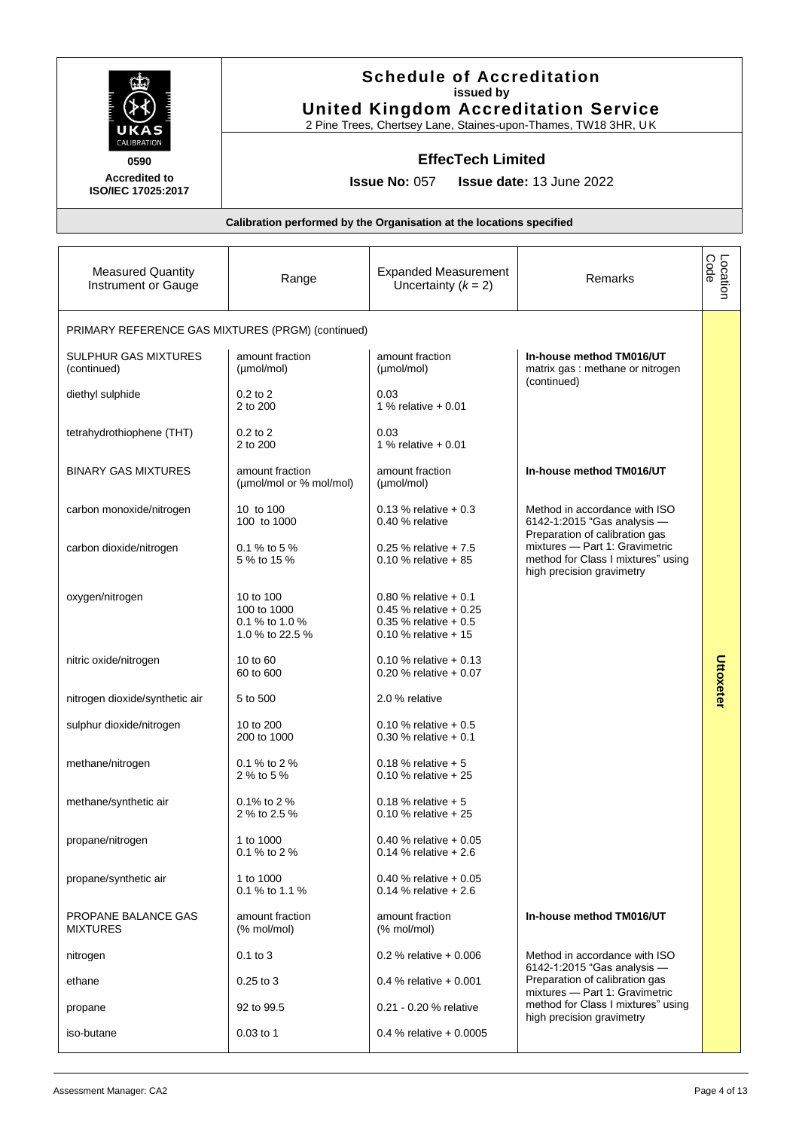|                                                   | <b>Schedule of Accreditation</b><br>issued by<br><b>United Kingdom Accreditation Service</b><br>2 Pine Trees, Chertsey Lane, Staines-upon-Thames, TW18 3HR, UK<br><b>EffecTech Limited</b> |                                                                                                          |                                                                                                   |                  |
|---------------------------------------------------|--------------------------------------------------------------------------------------------------------------------------------------------------------------------------------------------|----------------------------------------------------------------------------------------------------------|---------------------------------------------------------------------------------------------------|------------------|
| CALIBRATION<br>0590                               |                                                                                                                                                                                            |                                                                                                          |                                                                                                   |                  |
| <b>Accredited to</b><br>ISO/IEC 17025:2017        |                                                                                                                                                                                            | <b>Issue No: 057</b>                                                                                     | <b>Issue date: 13 June 2022</b>                                                                   |                  |
|                                                   |                                                                                                                                                                                            | Calibration performed by the Organisation at the locations specified                                     |                                                                                                   |                  |
|                                                   |                                                                                                                                                                                            |                                                                                                          |                                                                                                   |                  |
| <b>Measured Quantity</b><br>Instrument or Gauge   | Range                                                                                                                                                                                      | <b>Expanded Measurement</b><br>Uncertainty $(k = 2)$                                                     | Remarks                                                                                           | Location<br>Code |
| PRIMARY REFERENCE GAS MIXTURES (PRGM) (continued) |                                                                                                                                                                                            |                                                                                                          |                                                                                                   |                  |
| <b>SULPHUR GAS MIXTURES</b><br>(continued)        | amount fraction<br>(µmol/mol)                                                                                                                                                              | amount fraction<br>(µmol/mol)                                                                            | In-house method TM016/UT<br>matrix gas : methane or nitrogen<br>(continued)                       |                  |
| diethyl sulphide                                  | $0.2$ to $2$<br>2 to 200                                                                                                                                                                   | 0.03<br>1 % relative $+0.01$                                                                             |                                                                                                   |                  |
| tetrahydrothiophene (THT)                         | $0.2$ to $2$<br>2 to 200                                                                                                                                                                   | 0.03<br>1 % relative $+0.01$                                                                             |                                                                                                   |                  |
| <b>BINARY GAS MIXTURES</b>                        | amount fraction<br>(µmol/mol or % mol/mol)                                                                                                                                                 | amount fraction<br>(µmol/mol)                                                                            | In-house method TM016/UT                                                                          |                  |
| carbon monoxide/nitrogen                          | 10 to 100<br>100 to 1000                                                                                                                                                                   | $0.13$ % relative + 0.3<br>0.40 % relative                                                               | Method in accordance with ISO<br>6142-1:2015 "Gas analysis -<br>Preparation of calibration gas    |                  |
| carbon dioxide/nitrogen                           | 0.1 % to 5 %<br>5 % to 15 %                                                                                                                                                                | 0.25 % relative $+ 7.5$<br>0.10 % relative $+85$                                                         | mixtures - Part 1: Gravimetric<br>method for Class I mixtures" using<br>high precision gravimetry |                  |
| oxygen/nitrogen                                   | 10 to 100<br>100 to 1000<br>0.1 % to 1.0 %<br>1.0 % to 22.5 %                                                                                                                              | 0.80 % relative $+0.1$<br>0.45 % relative $+0.25$<br>$0.35 \%$ relative + 0.5<br>$0.10$ % relative $+15$ |                                                                                                   |                  |
| nitric oxide/nitrogen                             | 10 to 60<br>60 to 600                                                                                                                                                                      | 0.10 % relative $+0.13$<br>0.20 % relative $+0.07$                                                       |                                                                                                   | c<br>Ittoxeter   |
| nitrogen dioxide/synthetic air                    | 5 to 500                                                                                                                                                                                   | 2.0 % relative                                                                                           |                                                                                                   |                  |
| sulphur dioxide/nitrogen                          | 10 to 200<br>200 to 1000                                                                                                                                                                   | 0.10 % relative $+0.5$<br>$0.30$ % relative + 0.1                                                        |                                                                                                   |                  |
| methane/nitrogen                                  | 0.1 % to 2 %<br>2 % to 5 %                                                                                                                                                                 | 0.18 % relative $+5$<br>0.10 % relative $+25$                                                            |                                                                                                   |                  |
| methane/synthetic air                             | 0.1% to 2 %<br>2 % to 2.5 %                                                                                                                                                                | $0.18$ % relative $+5$<br>0.10 % relative $+25$                                                          |                                                                                                   |                  |
| propane/nitrogen                                  | 1 to 1000<br>0.1 % to 2 %                                                                                                                                                                  | 0.40 % relative $+0.05$<br>0.14 % relative $+2.6$                                                        |                                                                                                   |                  |
| propane/synthetic air                             | 1 to 1000<br>0.1 % to 1.1 %                                                                                                                                                                | 0.40 % relative $+0.05$<br>0.14 % relative $+2.6$                                                        |                                                                                                   |                  |
| PROPANE BALANCE GAS<br><b>MIXTURES</b>            | amount fraction<br>(% mol/mol)                                                                                                                                                             | amount fraction<br>(% mol/mol)                                                                           | In-house method TM016/UT                                                                          |                  |
| nitrogen                                          | $0.1$ to $3$                                                                                                                                                                               | 0.2 % relative $+0.006$                                                                                  | Method in accordance with ISO<br>6142-1:2015 "Gas analysis -                                      |                  |
| ethane                                            | $0.25$ to $3$                                                                                                                                                                              | 0.4 % relative $+0.001$                                                                                  | Preparation of calibration gas<br>mixtures - Part 1: Gravimetric                                  |                  |
| propane                                           | 92 to 99.5                                                                                                                                                                                 | 0.21 - 0.20 % relative                                                                                   | method for Class I mixtures" using<br>high precision gravimetry                                   |                  |
| iso-butane                                        | 0.03 to 1                                                                                                                                                                                  | 0.4 % relative $+0.0005$                                                                                 |                                                                                                   |                  |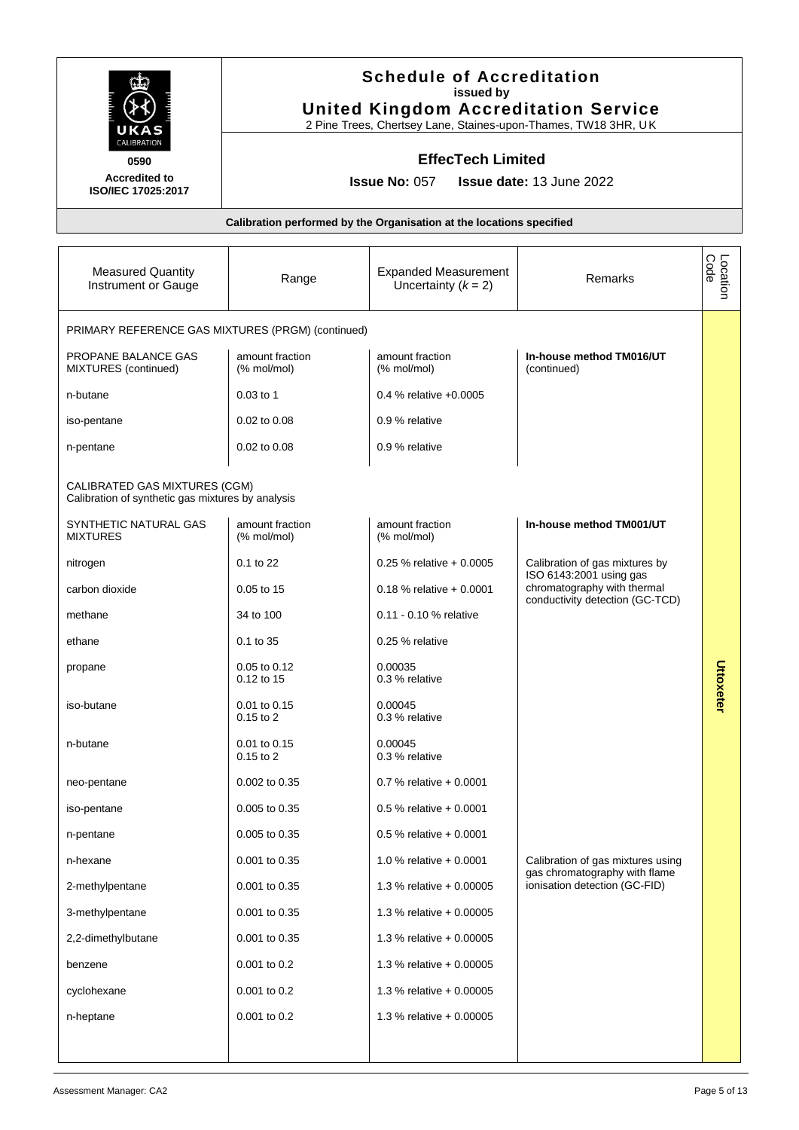|                                                                                    | <b>Schedule of Accreditation</b><br>issued by<br><b>United Kingdom Accreditation Service</b><br>2 Pine Trees, Chertsey Lane, Staines-upon-Thames, TW18 3HR, UK |                                                                      |                                                                    |                  |
|------------------------------------------------------------------------------------|----------------------------------------------------------------------------------------------------------------------------------------------------------------|----------------------------------------------------------------------|--------------------------------------------------------------------|------------------|
| 0590                                                                               | <b>EffecTech Limited</b>                                                                                                                                       |                                                                      |                                                                    |                  |
| <b>Accredited to</b><br>ISO/IEC 17025:2017                                         |                                                                                                                                                                | <b>Issue No: 057</b>                                                 | <b>Issue date: 13 June 2022</b>                                    |                  |
|                                                                                    |                                                                                                                                                                | Calibration performed by the Organisation at the locations specified |                                                                    |                  |
| <b>Measured Quantity</b><br>Instrument or Gauge                                    | Range                                                                                                                                                          | <b>Expanded Measurement</b><br>Uncertainty $(k = 2)$                 | Remarks                                                            | Location<br>Code |
| PRIMARY REFERENCE GAS MIXTURES (PRGM) (continued)                                  |                                                                                                                                                                |                                                                      |                                                                    |                  |
| PROPANE BALANCE GAS<br>MIXTURES (continued)                                        | amount fraction<br>(% mol/mol)                                                                                                                                 | amount fraction<br>(% mol/mol)                                       | In-house method TM016/UT<br>(continued)                            |                  |
| n-butane                                                                           | $0.03$ to 1                                                                                                                                                    | $0.4\%$ relative $+0.0005$                                           |                                                                    |                  |
| iso-pentane                                                                        | 0.02 to 0.08                                                                                                                                                   | 0.9 % relative                                                       |                                                                    |                  |
| n-pentane                                                                          | 0.02 to 0.08                                                                                                                                                   | 0.9 % relative                                                       |                                                                    |                  |
| CALIBRATED GAS MIXTURES (CGM)<br>Calibration of synthetic gas mixtures by analysis |                                                                                                                                                                |                                                                      |                                                                    |                  |
| SYNTHETIC NATURAL GAS<br><b>MIXTURES</b>                                           | amount fraction<br>(% mol/mol)                                                                                                                                 | amount fraction<br>(% mol/mol)                                       | In-house method TM001/UT                                           |                  |
| nitrogen                                                                           | 0.1 to 22                                                                                                                                                      | $0.25$ % relative + 0.0005                                           | Calibration of gas mixtures by<br>ISO 6143:2001 using gas          |                  |
| carbon dioxide                                                                     | 0.05 to 15                                                                                                                                                     | $0.18$ % relative + 0.0001                                           | chromatography with thermal<br>conductivity detection (GC-TCD)     |                  |
| methane                                                                            | 34 to 100                                                                                                                                                      | 0.11 - 0.10 % relative                                               |                                                                    |                  |
| ethane                                                                             | 0.1 to 35                                                                                                                                                      | 0.25 % relative                                                      |                                                                    |                  |
| propane                                                                            | 0.05 to 0.12<br>0.12 to 15                                                                                                                                     | 0.00035<br>0.3 % relative                                            |                                                                    | Uttoxeter        |
| iso-butane                                                                         | 0.01 to 0.15<br>$0.15$ to $2$                                                                                                                                  | 0.00045<br>0.3 % relative                                            |                                                                    |                  |
| n-butane                                                                           | 0.01 to 0.15<br>$0.15$ to $2$                                                                                                                                  | 0.00045<br>0.3 % relative                                            |                                                                    |                  |
| neo-pentane                                                                        | 0.002 to 0.35                                                                                                                                                  | 0.7 % relative $+0.0001$                                             |                                                                    |                  |
| iso-pentane                                                                        | 0.005 to 0.35                                                                                                                                                  | $0.5$ % relative + 0.0001                                            |                                                                    |                  |
| n-pentane                                                                          | 0.005 to 0.35                                                                                                                                                  | $0.5$ % relative + 0.0001                                            |                                                                    |                  |
| n-hexane                                                                           | 0.001 to 0.35                                                                                                                                                  | 1.0 % relative $+0.0001$                                             | Calibration of gas mixtures using<br>gas chromatography with flame |                  |
| 2-methylpentane                                                                    | 0.001 to 0.35                                                                                                                                                  | 1.3 % relative $+0.00005$                                            | ionisation detection (GC-FID)                                      |                  |
| 3-methylpentane                                                                    | 0.001 to 0.35                                                                                                                                                  | 1.3 % relative + 0.00005                                             |                                                                    |                  |
| 2,2-dimethylbutane                                                                 | 0.001 to 0.35                                                                                                                                                  | 1.3 % relative $+0.00005$                                            |                                                                    |                  |
| benzene                                                                            | 0.001 to 0.2                                                                                                                                                   | 1.3 % relative $+0.00005$                                            |                                                                    |                  |
| cyclohexane                                                                        | 0.001 to 0.2                                                                                                                                                   | 1.3 % relative $+0.00005$                                            |                                                                    |                  |
| n-heptane                                                                          | 0.001 to 0.2                                                                                                                                                   | 1.3 % relative $+0.00005$                                            |                                                                    |                  |
|                                                                                    |                                                                                                                                                                |                                                                      |                                                                    |                  |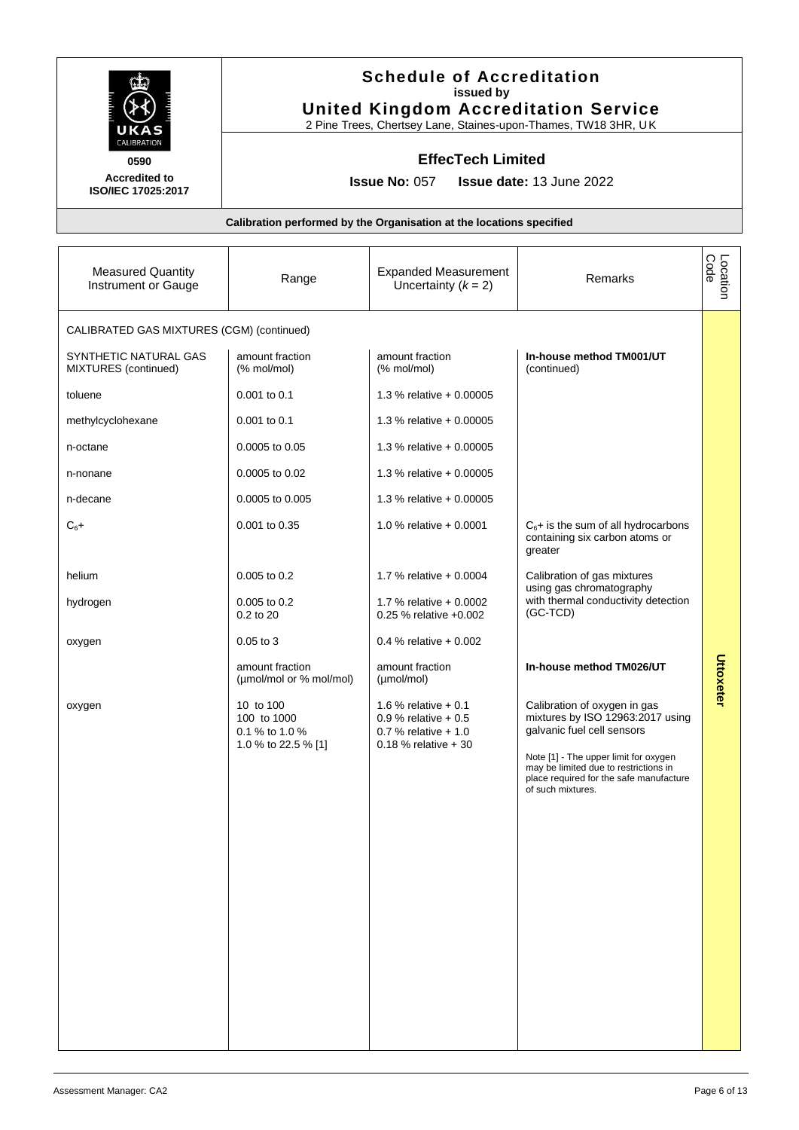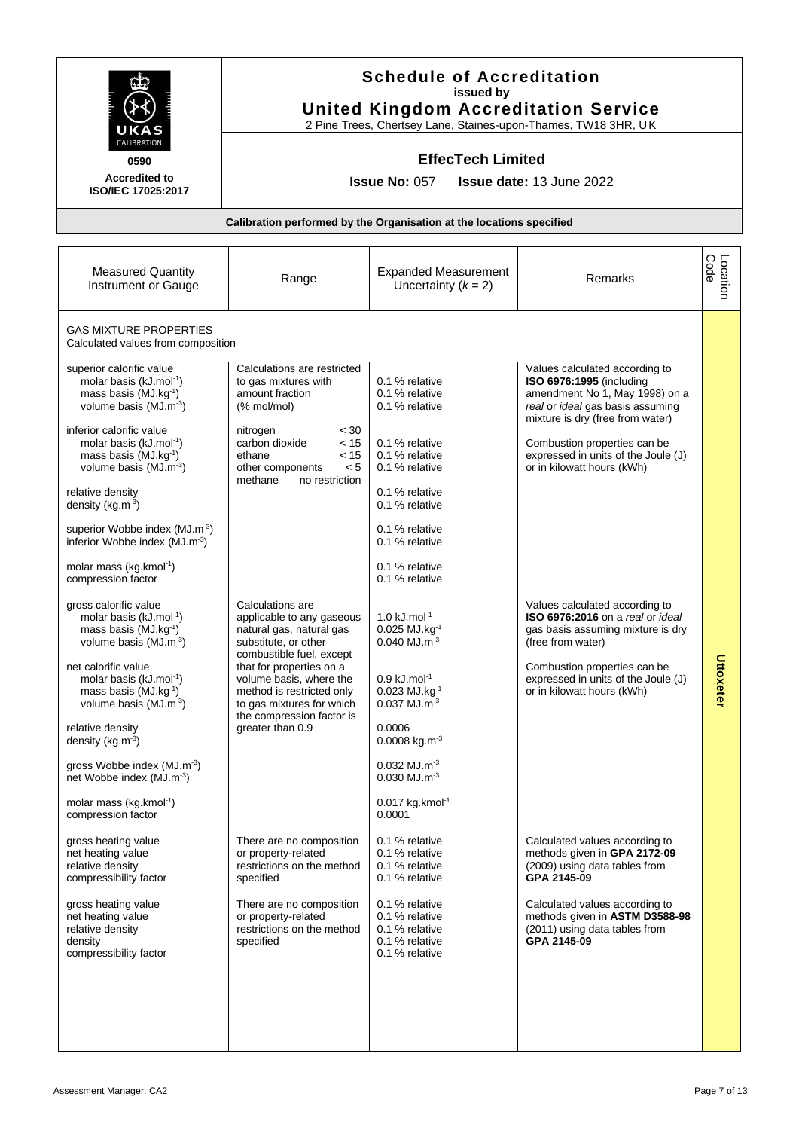|                                                                                                                                            |                                                                                                                                            | <b>Schedule of Accreditation</b><br>issued by<br><b>United Kingdom Accreditation Service</b><br>2 Pine Trees, Chertsey Lane, Staines-upon-Thames, TW18 3HR, UK |                                                                                                                                                                      |                  |
|--------------------------------------------------------------------------------------------------------------------------------------------|--------------------------------------------------------------------------------------------------------------------------------------------|----------------------------------------------------------------------------------------------------------------------------------------------------------------|----------------------------------------------------------------------------------------------------------------------------------------------------------------------|------------------|
| CALIBRATION                                                                                                                                |                                                                                                                                            | <b>EffecTech Limited</b>                                                                                                                                       |                                                                                                                                                                      |                  |
| 0590<br><b>Accredited to</b><br>ISO/IEC 17025:2017                                                                                         |                                                                                                                                            | <b>Issue No: 057</b>                                                                                                                                           | <b>Issue date: 13 June 2022</b>                                                                                                                                      |                  |
|                                                                                                                                            |                                                                                                                                            | Calibration performed by the Organisation at the locations specified                                                                                           |                                                                                                                                                                      |                  |
| <b>Measured Quantity</b><br>Instrument or Gauge                                                                                            | Range                                                                                                                                      | <b>Expanded Measurement</b><br>Uncertainty $(k = 2)$                                                                                                           | Remarks                                                                                                                                                              | Location<br>Code |
| <b>GAS MIXTURE PROPERTIES</b><br>Calculated values from composition                                                                        |                                                                                                                                            |                                                                                                                                                                |                                                                                                                                                                      |                  |
| superior calorific value<br>molar basis (kJ.mol <sup>-1</sup> )<br>mass basis (MJ.kg <sup>-1</sup> )<br>volume basis (MJ.m <sup>-3</sup> ) | Calculations are restricted<br>to gas mixtures with<br>amount fraction<br>$%$ mol/mol)                                                     | 0.1 % relative<br>0.1 % relative<br>0.1 % relative                                                                                                             | Values calculated according to<br>ISO 6976:1995 (including<br>amendment No 1, May 1998) on a<br>real or ideal gas basis assuming<br>mixture is dry (free from water) |                  |
| inferior calorific value<br>molar basis (kJ.mol <sup>-1</sup> )<br>mass basis (MJ.kg <sup>-1</sup> )<br>volume basis (MJ.m <sup>-3</sup> ) | < 30<br>nitrogen<br>carbon dioxide<br>< 15<br>< 15<br>ethane<br>< 5<br>other components<br>methane<br>no restriction                       | 0.1 % relative<br>0.1 % relative<br>0.1 % relative                                                                                                             | Combustion properties can be<br>expressed in units of the Joule (J)<br>or in kilowatt hours (kWh)                                                                    |                  |
| relative density<br>density (kg.m <sup>-3</sup> )                                                                                          |                                                                                                                                            | 0.1 % relative<br>0.1 % relative                                                                                                                               |                                                                                                                                                                      |                  |
| superior Wobbe index (MJ.m <sup>-3</sup> )<br>inferior Wobbe index (MJ.m <sup>-3</sup> )                                                   |                                                                                                                                            | 0.1 % relative<br>0.1 % relative                                                                                                                               |                                                                                                                                                                      |                  |
| molar mass (kg.kmol <sup>-1</sup> )<br>compression factor                                                                                  |                                                                                                                                            | 0.1 % relative<br>0.1 % relative                                                                                                                               |                                                                                                                                                                      |                  |
| gross calorific value<br>molar basis (kJ.mol <sup>-1</sup> )<br>mass basis (MJ.kg <sup>-1</sup> )<br>volume basis (MJ.m <sup>-3</sup> )    | Calculations are<br>applicable to any gaseous<br>natural gas, natural gas<br>substitute, or other<br>combustible fuel, except              | $1.0 \text{ kJ}$ .mol <sup>-1</sup><br>$0.025$ MJ.kg $^{-1}$<br>$0.040$ MJ.m <sup>-3</sup>                                                                     | Values calculated according to<br>ISO 6976:2016 on a real or ideal<br>gas basis assuming mixture is dry<br>(free from water)                                         | c                |
| net calorific value<br>molar basis (kJ.mol-1)<br>mass basis $(MJ.kg^{-1})$<br>volume basis (MJ.m <sup>-3</sup> )                           | that for properties on a<br>volume basis, where the<br>method is restricted only<br>to gas mixtures for which<br>the compression factor is | $0.9$ kJ.mol <sup>-1</sup><br>$0.023$ MJ.kg <sup>-1</sup><br>$0.037$ MJ.m <sup>-3</sup>                                                                        | Combustion properties can be<br>expressed in units of the Joule (J)<br>or in kilowatt hours (kWh)                                                                    | <b>Ittoxeter</b> |
| relative density<br>density ( $kg.m^{-3}$ )                                                                                                | greater than 0.9                                                                                                                           | 0.0006<br>0.0008 kg.m <sup>-3</sup>                                                                                                                            |                                                                                                                                                                      |                  |
| gross Wobbe index (MJ.m <sup>-3</sup> )<br>net Wobbe index (MJ.m <sup>-3</sup> )                                                           |                                                                                                                                            | $0.032$ MJ.m <sup>-3</sup><br>$0.030$ MJ.m <sup>-3</sup>                                                                                                       |                                                                                                                                                                      |                  |
| molar mass (kg.kmol <sup>-1</sup> )<br>compression factor                                                                                  |                                                                                                                                            | $0.017$ kg.kmol <sup>-1</sup><br>0.0001                                                                                                                        |                                                                                                                                                                      |                  |
| gross heating value<br>net heating value<br>relative density<br>compressibility factor                                                     | There are no composition<br>or property-related<br>restrictions on the method<br>specified                                                 | 0.1 % relative<br>0.1 % relative<br>0.1 % relative<br>0.1 % relative                                                                                           | Calculated values according to<br>methods given in GPA 2172-09<br>(2009) using data tables from<br>GPA 2145-09                                                       |                  |
| gross heating value<br>net heating value<br>relative density<br>density<br>compressibility factor                                          | There are no composition<br>or property-related<br>restrictions on the method<br>specified                                                 | 0.1 % relative<br>0.1 % relative<br>0.1 % relative<br>0.1 % relative<br>0.1 % relative                                                                         | Calculated values according to<br>methods given in ASTM D3588-98<br>(2011) using data tables from<br>GPA 2145-09                                                     |                  |
|                                                                                                                                            |                                                                                                                                            |                                                                                                                                                                |                                                                                                                                                                      |                  |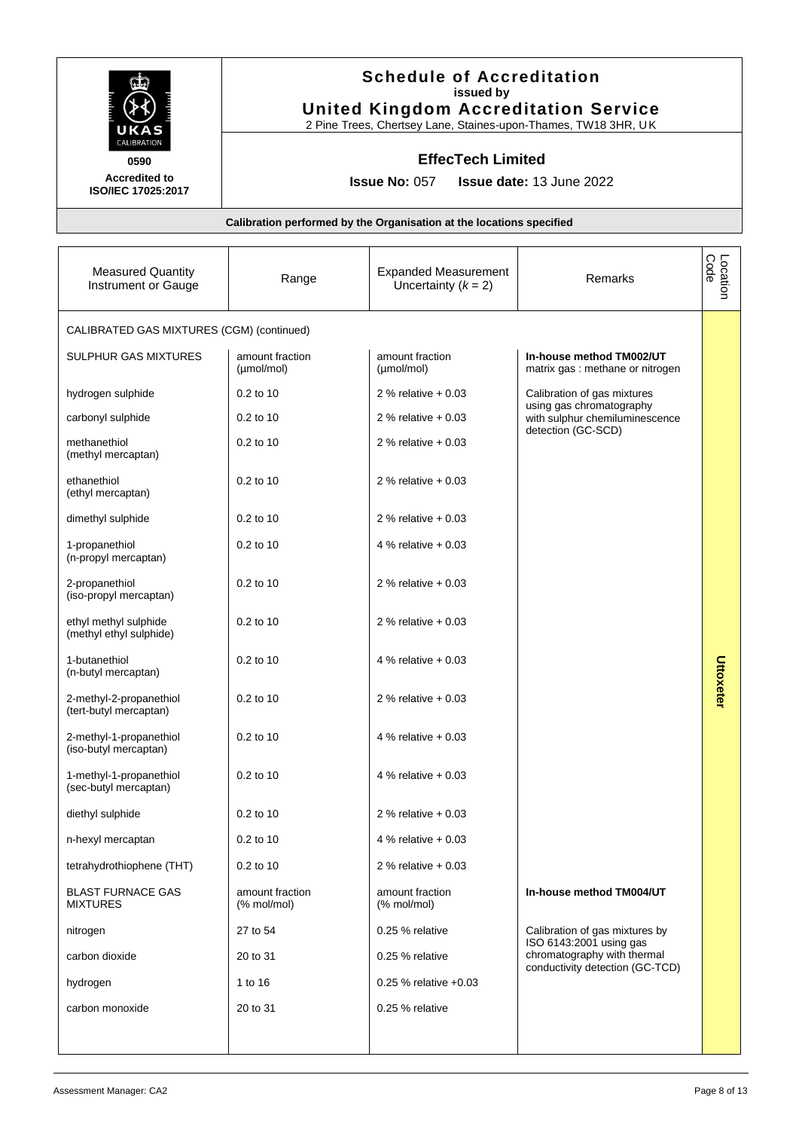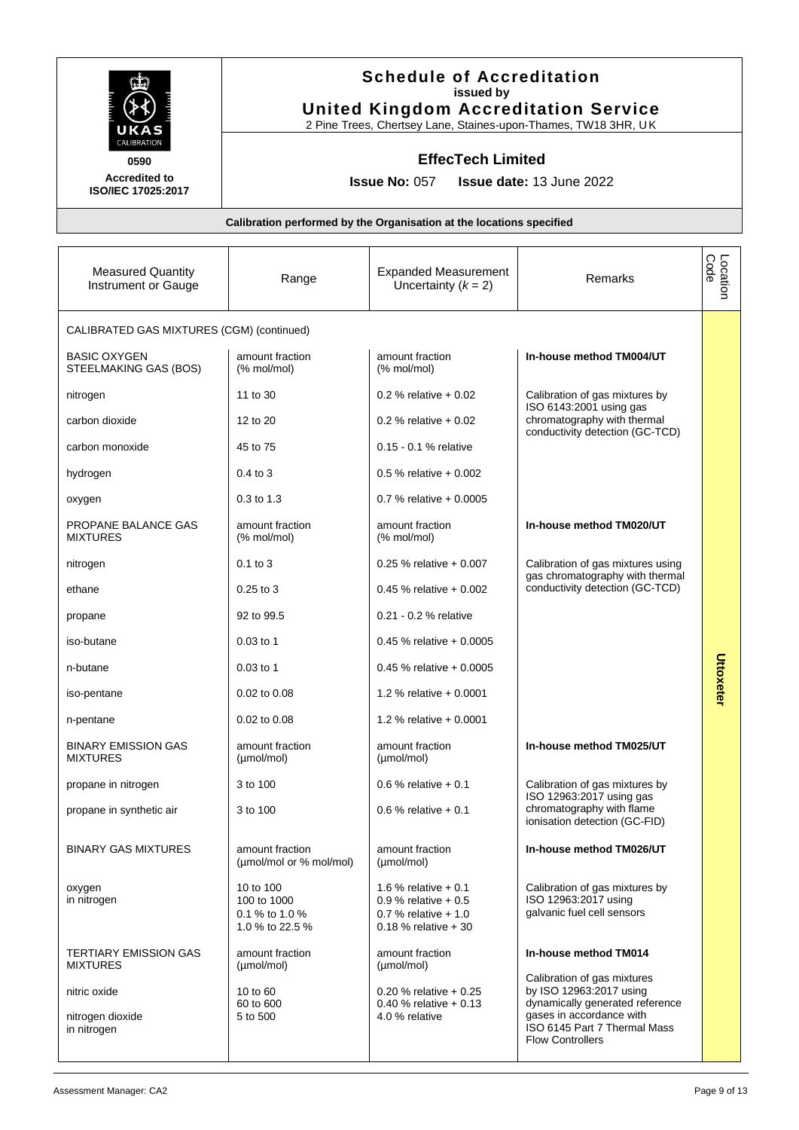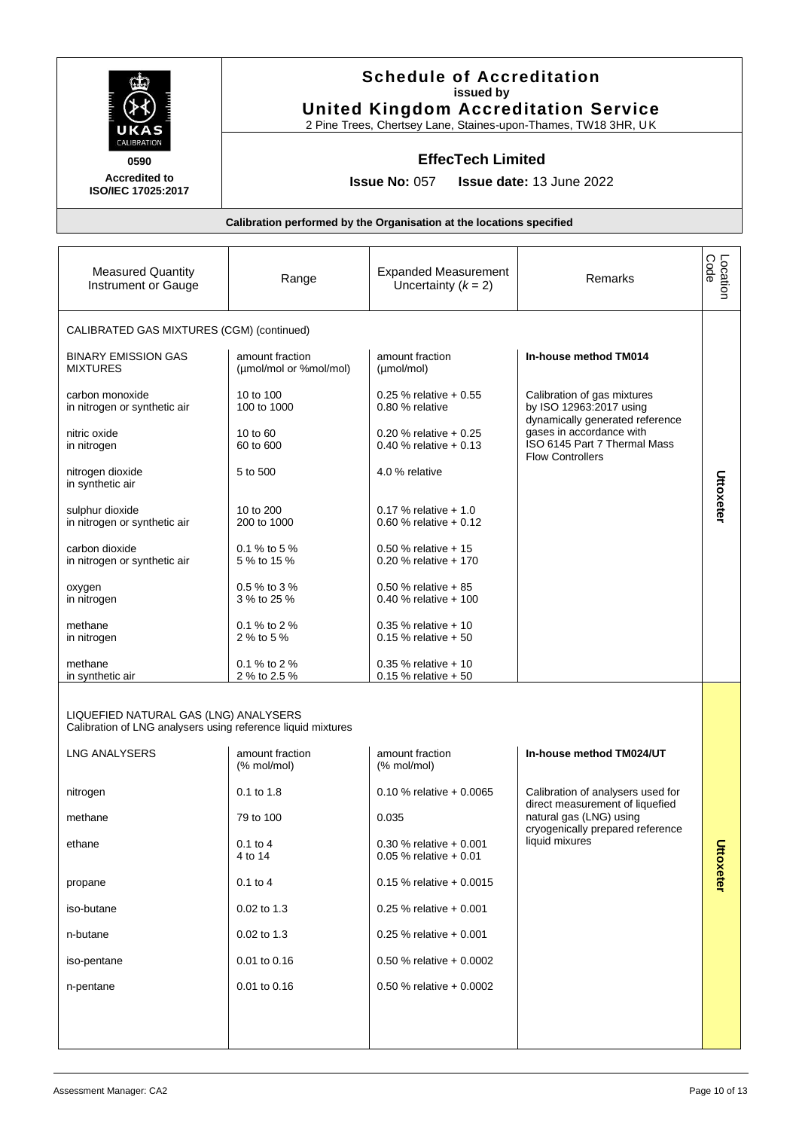|                                                                                                       |                                           | <b>Schedule of Accreditation</b><br>issued by<br><b>United Kingdom Accreditation Service</b><br>2 Pine Trees, Chertsey Lane, Staines-upon-Thames, TW18 3HR, UK |                                                                                                                        |                  |
|-------------------------------------------------------------------------------------------------------|-------------------------------------------|----------------------------------------------------------------------------------------------------------------------------------------------------------------|------------------------------------------------------------------------------------------------------------------------|------------------|
| CALIBRATION<br>0590<br><b>Accredited to</b><br>ISO/IEC 17025:2017                                     |                                           | <b>EffecTech Limited</b><br><b>Issue No: 057</b>                                                                                                               | Issue date: 13 June 2022                                                                                               |                  |
|                                                                                                       |                                           | Calibration performed by the Organisation at the locations specified                                                                                           |                                                                                                                        |                  |
| <b>Measured Quantity</b><br>Instrument or Gauge                                                       | Range                                     | <b>Expanded Measurement</b><br>Uncertainty $(k = 2)$                                                                                                           | Remarks                                                                                                                | Location<br>Code |
| CALIBRATED GAS MIXTURES (CGM) (continued)                                                             |                                           |                                                                                                                                                                |                                                                                                                        |                  |
| <b>BINARY EMISSION GAS</b><br><b>MIXTURES</b>                                                         | amount fraction<br>(µmol/mol or %mol/mol) | amount fraction<br>(µmol/mol)                                                                                                                                  | In-house method TM014                                                                                                  |                  |
| carbon monoxide<br>in nitrogen or synthetic air                                                       | 10 to 100<br>100 to 1000                  | $0.25$ % relative + 0.55<br>0.80 % relative                                                                                                                    | Calibration of gas mixtures<br>by ISO 12963:2017 using                                                                 |                  |
| nitric oxide<br>in nitrogen                                                                           | $10$ to $60$<br>60 to 600                 | 0.20 % relative $+0.25$<br>0.40 % relative $+0.13$                                                                                                             | dynamically generated reference<br>gases in accordance with<br>ISO 6145 Part 7 Thermal Mass<br><b>Flow Controllers</b> |                  |
| nitrogen dioxide<br>in synthetic air                                                                  | 5 to 500                                  | 4.0 % relative                                                                                                                                                 |                                                                                                                        | Uttoxeter        |
| sulphur dioxide<br>in nitrogen or synthetic air                                                       | 10 to 200<br>200 to 1000                  | 0.17 % relative $+1.0$<br>0.60 % relative $+0.12$                                                                                                              |                                                                                                                        |                  |
| carbon dioxide<br>in nitrogen or synthetic air                                                        | 0.1 % to 5 %<br>5 % to 15 %               | 0.50 % relative $+15$<br>0.20 % relative $+170$                                                                                                                |                                                                                                                        |                  |
| oxygen<br>in nitrogen                                                                                 | 0.5 % to 3 %<br>3 % to 25 %               | 0.50 % relative $+85$<br>0.40 % relative $+100$                                                                                                                |                                                                                                                        |                  |
| methane<br>in nitrogen                                                                                | 0.1 % to 2 %<br>2 % to 5 %                | $0.35$ % relative + 10<br>0.15 % relative $+50$                                                                                                                |                                                                                                                        |                  |
| methane<br>in synthetic air                                                                           | 0.1 % to 2 %<br>2 % to 2.5 %              | $0.35$ % relative + 10<br>$0.15$ % relative $+50$                                                                                                              |                                                                                                                        |                  |
| LIQUEFIED NATURAL GAS (LNG) ANALYSERS<br>Calibration of LNG analysers using reference liquid mixtures |                                           |                                                                                                                                                                |                                                                                                                        |                  |
| <b>LNG ANALYSERS</b>                                                                                  | amount fraction<br>(% mol/mol)            | amount fraction<br>$%$ mol/mol)                                                                                                                                | In-house method TM024/UT                                                                                               |                  |
| nitrogen                                                                                              | 0.1 to 1.8                                | 0.10 % relative $+0.0065$                                                                                                                                      | Calibration of analysers used for<br>direct measurement of liquefied                                                   |                  |
| methane                                                                                               | 79 to 100                                 | 0.035                                                                                                                                                          | natural gas (LNG) using<br>cryogenically prepared reference                                                            |                  |
| ethane                                                                                                | $0.1$ to $4$<br>4 to 14                   | $0.30$ % relative + 0.001<br>$0.05$ % relative + 0.01                                                                                                          | liquid mixures                                                                                                         | Uttoxeter        |
| propane                                                                                               | $0.1$ to 4                                | $0.15$ % relative + 0.0015                                                                                                                                     |                                                                                                                        |                  |
| iso-butane                                                                                            | $0.02$ to 1.3                             | $0.25$ % relative + 0.001                                                                                                                                      |                                                                                                                        |                  |
| n-butane                                                                                              | 0.02 to 1.3                               | $0.25$ % relative + 0.001                                                                                                                                      |                                                                                                                        |                  |
| iso-pentane                                                                                           | 0.01 to 0.16                              | 0.50 % relative $+0.0002$                                                                                                                                      |                                                                                                                        |                  |
| n-pentane                                                                                             | 0.01 to 0.16                              | 0.50 % relative $+0.0002$                                                                                                                                      |                                                                                                                        |                  |
|                                                                                                       |                                           |                                                                                                                                                                |                                                                                                                        |                  |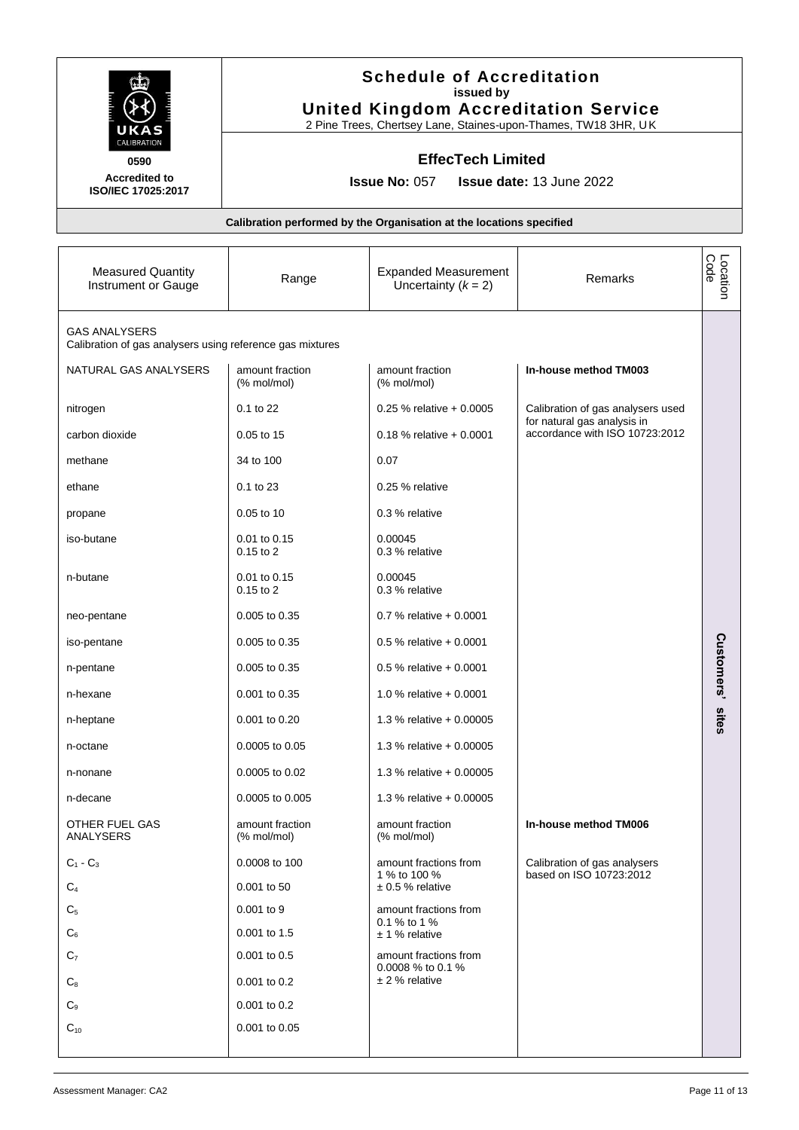|                                                                                   |                                   | <b>Schedule of Accreditation</b><br>issued by<br><b>United Kingdom Accreditation Service</b><br>2 Pine Trees, Chertsey Lane, Staines-upon-Thames, TW18 3HR, UK |                                                                  |                  |
|-----------------------------------------------------------------------------------|-----------------------------------|----------------------------------------------------------------------------------------------------------------------------------------------------------------|------------------------------------------------------------------|------------------|
| CALIBRATION                                                                       |                                   | <b>EffecTech Limited</b>                                                                                                                                       |                                                                  |                  |
| 0590<br><b>Accredited to</b>                                                      |                                   | <b>Issue No: 057</b>                                                                                                                                           | <b>Issue date: 13 June 2022</b>                                  |                  |
| ISO/IEC 17025:2017                                                                |                                   |                                                                                                                                                                |                                                                  |                  |
|                                                                                   |                                   | Calibration performed by the Organisation at the locations specified                                                                                           |                                                                  |                  |
| <b>Measured Quantity</b><br>Instrument or Gauge                                   | Range                             | <b>Expanded Measurement</b><br>Uncertainty $(k = 2)$                                                                                                           | Remarks                                                          | Location<br>Code |
| <b>GAS ANALYSERS</b><br>Calibration of gas analysers using reference gas mixtures |                                   |                                                                                                                                                                |                                                                  |                  |
| NATURAL GAS ANALYSERS                                                             | amount fraction<br>(% mol/mol)    | amount fraction<br>(% mol/mol)                                                                                                                                 | In-house method TM003                                            |                  |
| nitrogen                                                                          | $0.1$ to $22$                     | $0.25$ % relative + 0.0005                                                                                                                                     | Calibration of gas analysers used<br>for natural gas analysis in |                  |
| carbon dioxide                                                                    | 0.05 to 15                        | $0.18$ % relative + 0.0001                                                                                                                                     | accordance with ISO 10723:2012                                   |                  |
| methane                                                                           | 34 to 100                         | 0.07                                                                                                                                                           |                                                                  |                  |
| ethane                                                                            | 0.1 to 23                         | 0.25 % relative                                                                                                                                                |                                                                  |                  |
| propane                                                                           | 0.05 to 10                        | 0.3 % relative                                                                                                                                                 |                                                                  |                  |
| iso-butane                                                                        | 0.01 to 0.15<br>$0.15$ to $2$     | 0.00045<br>0.3 % relative                                                                                                                                      |                                                                  |                  |
| n-butane                                                                          | $0.01$ to $0.15$<br>$0.15$ to $2$ | 0.00045<br>0.3 % relative                                                                                                                                      |                                                                  |                  |
| neo-pentane                                                                       | 0.005 to 0.35                     | 0.7 % relative $+0.0001$                                                                                                                                       |                                                                  |                  |
| iso-pentane                                                                       | 0.005 to 0.35                     | $0.5\%$ relative + 0.0001                                                                                                                                      |                                                                  | Custo            |
| n-pentane                                                                         | $0.005$ to $0.35$                 | $0.5\%$ relative + 0.0001                                                                                                                                      |                                                                  | mers'            |
| n-hexane                                                                          | 0.001 to 0.35                     | 1.0 % relative $+0.0001$                                                                                                                                       |                                                                  |                  |
| n-heptane                                                                         | 0.001 to 0.20                     | 1.3 % relative $+0.00005$                                                                                                                                      |                                                                  | sites            |
| n-octane                                                                          | 0.0005 to 0.05                    | 1.3 % relative + 0.00005                                                                                                                                       |                                                                  |                  |
| n-nonane                                                                          | 0.0005 to 0.02                    | 1.3 % relative + 0.00005                                                                                                                                       |                                                                  |                  |
| n-decane                                                                          | 0.0005 to 0.005                   | 1.3 % relative + 0.00005                                                                                                                                       |                                                                  |                  |
| OTHER FUEL GAS<br>ANALYSERS                                                       | amount fraction<br>(% mol/mol)    | amount fraction<br>(% mol/mol)                                                                                                                                 | In-house method TM006                                            |                  |
| $C_1 - C_3$                                                                       | 0.0008 to 100                     | amount fractions from<br>1 % to 100 %                                                                                                                          | Calibration of gas analysers<br>based on ISO 10723:2012          |                  |
| $C_4$                                                                             | 0.001 to 50                       | $\pm$ 0.5 % relative                                                                                                                                           |                                                                  |                  |
| C <sub>5</sub>                                                                    | 0.001 to 9                        | amount fractions from<br>0.1 % to 1 %                                                                                                                          |                                                                  |                  |
| C٬                                                                                | 0.001 to 1.5                      | $± 1$ % relative                                                                                                                                               |                                                                  |                  |
| $C_7$                                                                             | 0.001 to 0.5                      | amount fractions from<br>0.0008 % to 0.1 %                                                                                                                     |                                                                  |                  |
| $C_{8}$                                                                           | 0.001 to 0.2                      | $± 2$ % relative                                                                                                                                               |                                                                  |                  |
| C <sub>9</sub><br>$C_{10}$                                                        | $0.001$ to $0.2$<br>0.001 to 0.05 |                                                                                                                                                                |                                                                  |                  |
|                                                                                   |                                   |                                                                                                                                                                |                                                                  |                  |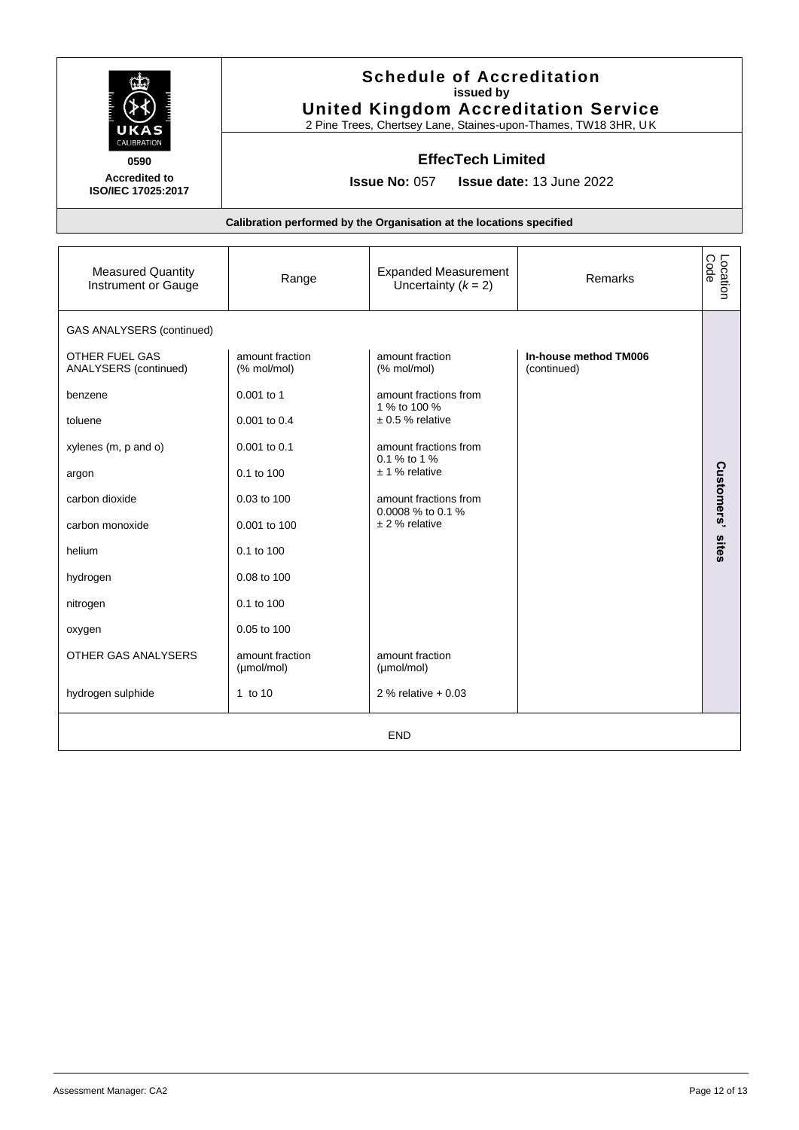| 0590<br><b>Accredited to</b><br>ISO/IEC 17025:2017                                                                                                                                                                                                              | <b>Schedule of Accreditation</b><br>issued by<br><b>United Kingdom Accreditation Service</b><br>2 Pine Trees, Chertsey Lane, Staines-upon-Thames, TW18 3HR, UK<br><b>EffecTech Limited</b><br><b>Issue No: 057</b><br>Issue date: 13 June 2022 |                                                                                                                                                                                                                                                                                       |                                      |                  |
|-----------------------------------------------------------------------------------------------------------------------------------------------------------------------------------------------------------------------------------------------------------------|------------------------------------------------------------------------------------------------------------------------------------------------------------------------------------------------------------------------------------------------|---------------------------------------------------------------------------------------------------------------------------------------------------------------------------------------------------------------------------------------------------------------------------------------|--------------------------------------|------------------|
|                                                                                                                                                                                                                                                                 |                                                                                                                                                                                                                                                | Calibration performed by the Organisation at the locations specified                                                                                                                                                                                                                  |                                      |                  |
| <b>Measured Quantity</b><br>Instrument or Gauge                                                                                                                                                                                                                 | Range                                                                                                                                                                                                                                          | <b>Expanded Measurement</b><br>Uncertainty $(k = 2)$                                                                                                                                                                                                                                  | Remarks                              | Location<br>Code |
| <b>GAS ANALYSERS (continued)</b><br>OTHER FUEL GAS<br>ANALYSERS (continued)<br>benzene<br>toluene<br>xylenes (m, p and o)<br>argon<br>carbon dioxide<br>carbon monoxide<br>helium<br>hydrogen<br>nitrogen<br>oxygen<br>OTHER GAS ANALYSERS<br>hydrogen sulphide | amount fraction<br>(% mol/mol)<br>0.001 to 1<br>0.001 to 0.4<br>0.001 to 0.1<br>0.1 to 100<br>0.03 to 100<br>0.001 to 100<br>0.1 to 100<br>0.08 to 100<br>$0.1$ to $100$<br>0.05 to 100<br>amount fraction<br>(µmol/mol)<br>1 to 10            | amount fraction<br>(% mol/mol)<br>amount fractions from<br>1 % to 100 %<br>$± 0.5 %$ relative<br>amount fractions from<br>0.1 % to 1 %<br>$± 1$ % relative<br>amount fractions from<br>0.0008 % to 0.1 %<br>$± 2$ % relative<br>amount fraction<br>(µmol/mol)<br>2 % relative $+0.03$ | In-house method TM006<br>(continued) | Customers' sites |
|                                                                                                                                                                                                                                                                 |                                                                                                                                                                                                                                                | <b>END</b>                                                                                                                                                                                                                                                                            |                                      |                  |